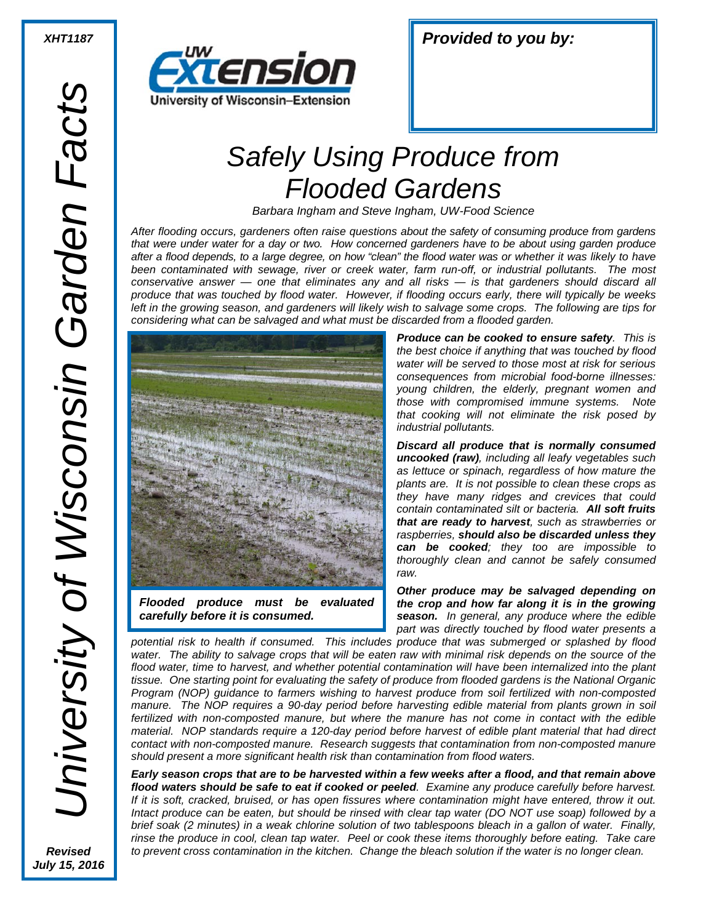

| <b>Provided to you by:</b><br><b>XHT1187</b> |
|----------------------------------------------|
|----------------------------------------------|

## *Safely Using Produce from Flooded Gardens*

*Barbara Ingham and Steve Ingham, UW-Food Science*

*After flooding occurs, gardeners often raise questions about the safety of consuming produce from gardens that were under water for a day or two. How concerned gardeners have to be about using garden produce after a flood depends, to a large degree, on how "clean" the flood water was or whether it was likely to have been contaminated with sewage, river or creek water, farm run-off, or industrial pollutants. The most conservative answer — one that eliminates any and all risks — is that gardeners should discard all produce that was touched by flood water. However, if flooding occurs early, there will typically be weeks left in the growing season, and gardeners will likely wish to salvage some crops. The following are tips for considering what can be salvaged and what must be discarded from a flooded garden.*



*Flooded produce must be evaluated carefully before it is consumed.* 

*Produce can be cooked to ensure safety. This is the best choice if anything that was touched by flood water will be served to those most at risk for serious consequences from microbial food-borne illnesses: young children, the elderly, pregnant women and those with compromised immune systems. Note that cooking will not eliminate the risk posed by industrial pollutants.*

*Discard all produce that is normally consumed uncooked (raw), including all leafy vegetables such as lettuce or spinach, regardless of how mature the plants are. It is not possible to clean these crops as they have many ridges and crevices that could contain contaminated silt or bacteria. All soft fruits that are ready to harvest, such as strawberries or raspberries, should also be discarded unless they can be cooked; they too are impossible to thoroughly clean and cannot be safely consumed raw.*

*Other produce may be salvaged depending on the crop and how far along it is in the growing season. In general, any produce where the edible part was directly touched by flood water presents a* 

*potential risk to health if consumed. This includes produce that was submerged or splashed by flood water. The ability to salvage crops that will be eaten raw with minimal risk depends on the source of the flood water, time to harvest, and whether potential contamination will have been internalized into the plant tissue. One starting point for evaluating the safety of produce from flooded gardens is the National Organic Program (NOP) guidance to farmers wishing to harvest produce from soil fertilized with non-composted manure. The NOP requires a 90-day period before harvesting edible material from plants grown in soil fertilized with non-composted manure, but where the manure has not come in contact with the edible material. NOP standards require a 120-day period before harvest of edible plant material that had direct contact with non-composted manure. Research suggests that contamination from non-composted manure should present a more significant health risk than contamination from flood waters.*

*Early season crops that are to be harvested within a few weeks after a flood, and that remain above flood waters should be safe to eat if cooked or peeled. Examine any produce carefully before harvest. If it is soft, cracked, bruised, or has open fissures where contamination might have entered, throw it out. Intact produce can be eaten, but should be rinsed with clear tap water (DO NOT use soap) followed by a brief soak (2 minutes) in a weak chlorine solution of two tablespoons bleach in a gallon of water. Finally, rinse the produce in cool, clean tap water. Peel or cook these items thoroughly before eating. Take care to prevent cross contamination in the kitchen. Change the bleach solution if the water is no longer clean.*

*Revised July 15, 2016*